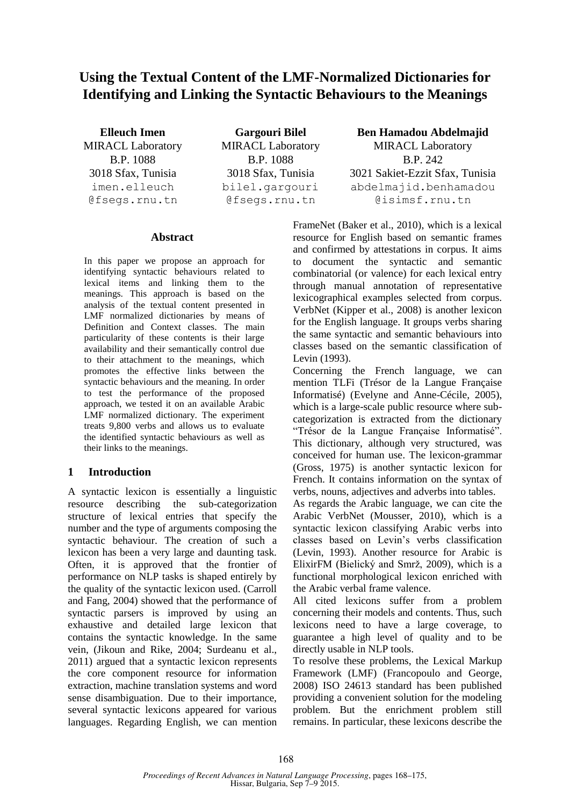# **Using the Textual Content of the LMF-Normalized Dictionaries for Identifying and Linking the Syntactic Behaviours to the Meanings**

imen.elleuch @fsegs.rnu.tn

B.P. 1088 B.P. 1088 B.P. 242 bilel.gargouri @fsegs.rnu.tn

**Elleuch Imen Gargouri Bilel Ben Hamadou Abdelmajid** MIRACL Laboratory MIRACL Laboratory MIRACL Laboratory 3018 Sfax, Tunisia 3018 Sfax, Tunisia 3021 Sakiet-Ezzit Sfax, Tunisia abdelmajid.benhamadou @isimsf.rnu.tn

### **Abstract**

In this paper we propose an approach for identifying syntactic behaviours related to lexical items and linking them to the meanings. This approach is based on the analysis of the textual content presented in LMF normalized dictionaries by means of Definition and Context classes. The main particularity of these contents is their large availability and their semantically control due to their attachment to the meanings, which promotes the effective links between the syntactic behaviours and the meaning. In order to test the performance of the proposed approach, we tested it on an available Arabic LMF normalized dictionary. The experiment treats 9,800 verbs and allows us to evaluate the identified syntactic behaviours as well as their links to the meanings.

### **1 Introduction**

A syntactic lexicon is essentially a linguistic resource describing the sub-categorization structure of lexical entries that specify the number and the type of arguments composing the syntactic behaviour. The creation of such a lexicon has been a very large and daunting task. Often, it is approved that the frontier of performance on NLP tasks is shaped entirely by the quality of the syntactic lexicon used. (Carroll and Fang, 2004) showed that the performance of syntactic parsers is improved by using an exhaustive and detailed large lexicon that contains the syntactic knowledge. In the same vein, (Jikoun and Rike, 2004; Surdeanu et al., 2011) argued that a syntactic lexicon represents the core component resource for information extraction, machine translation systems and word sense disambiguation. Due to their importance, several syntactic lexicons appeared for various languages. Regarding English, we can mention FrameNet (Baker et al., 2010), which is a lexical resource for English based on semantic frames and confirmed by attestations in corpus. It aims to document the syntactic and semantic combinatorial (or valence) for each lexical entry through manual annotation of representative lexicographical examples selected from corpus. VerbNet (Kipper et al., 2008) is another lexicon for the English language. It groups verbs sharing the same syntactic and semantic behaviours into classes based on the semantic classification of Levin (1993).

Concerning the French language, we can mention TLFi (Trésor de la Langue Française Informatisé) (Evelyne and Anne-Cécile, 2005), which is a large-scale public resource where subcategorization is extracted from the dictionary "Trésor de la Langue Française Informatisé". This dictionary, although very structured, was conceived for human use. The lexicon-grammar (Gross, 1975) is another syntactic lexicon for French. It contains information on the syntax of verbs, nouns, adjectives and adverbs into tables.

As regards the Arabic language, we can cite the Arabic VerbNet (Mousser, 2010), which is a syntactic lexicon classifying Arabic verbs into classes based on Levin's verbs classification (Levin, 1993). Another resource for Arabic is ElixirFM (Bielický and Smrž, 2009), which is a functional morphological lexicon enriched with the Arabic verbal frame valence.

All cited lexicons suffer from a problem concerning their models and contents. Thus, such lexicons need to have a large coverage, to guarantee a high level of quality and to be directly usable in NLP tools.

To resolve these problems, the Lexical Markup Framework (LMF) (Francopoulo and George, 2008) ISO 24613 standard has been published providing a convenient solution for the modeling problem. But the enrichment problem still remains. In particular, these lexicons describe the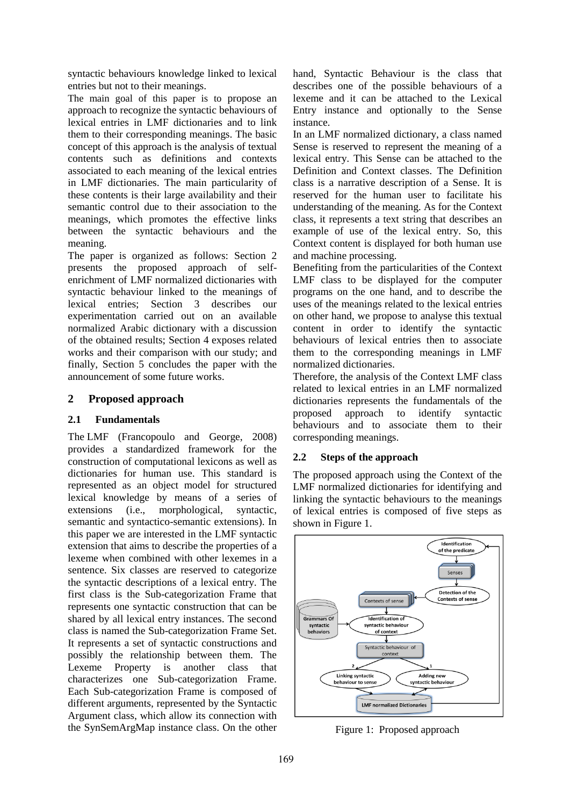syntactic behaviours knowledge linked to lexical entries but not to their meanings.

The main goal of this paper is to propose an approach to recognize the syntactic behaviours of lexical entries in LMF dictionaries and to link them to their corresponding meanings. The basic concept of this approach is the analysis of textual contents such as definitions and contexts associated to each meaning of the lexical entries in LMF dictionaries. The main particularity of these contents is their large availability and their semantic control due to their association to the meanings, which promotes the effective links between the syntactic behaviours and the meaning.

The paper is organized as follows: Section 2 presents the proposed approach of selfenrichment of LMF normalized dictionaries with syntactic behaviour linked to the meanings of lexical entries; Section 3 describes our experimentation carried out on an available normalized Arabic dictionary with a discussion of the obtained results; Section 4 exposes related works and their comparison with our study; and finally, Section 5 concludes the paper with the announcement of some future works.

## **2 Proposed approach**

### **2.1 Fundamentals**

The LMF (Francopoulo and George, 2008) provides a standardized framework for the construction of computational lexicons as well as dictionaries for human use. This standard is represented as an object model for structured lexical knowledge by means of a series of extensions (i.e., morphological, syntactic, semantic and syntactico-semantic extensions). In this paper we are interested in the LMF syntactic extension that aims to describe the properties of a lexeme when combined with other lexemes in a sentence. Six classes are reserved to categorize the syntactic descriptions of a lexical entry. The first class is the Sub-categorization Frame that represents one syntactic construction that can be shared by all lexical entry instances. The second class is named the Sub-categorization Frame Set. It represents a set of syntactic constructions and possibly the relationship between them. The Lexeme Property is another class that characterizes one Sub-categorization Frame. Each Sub-categorization Frame is composed of different arguments, represented by the Syntactic Argument class, which allow its connection with the SynSemArgMap instance class. On the other hand, Syntactic Behaviour is the class that describes one of the possible behaviours of a lexeme and it can be attached to the Lexical Entry instance and optionally to the Sense instance.

In an LMF normalized dictionary, a class named Sense is reserved to represent the meaning of a lexical entry. This Sense can be attached to the Definition and Context classes. The Definition class is a narrative description of a Sense. It is reserved for the human user to facilitate his understanding of the meaning. As for the Context class, it represents a text string that describes an example of use of the lexical entry. So, this Context content is displayed for both human use and machine processing.

Benefiting from the particularities of the Context LMF class to be displayed for the computer programs on the one hand, and to describe the uses of the meanings related to the lexical entries on other hand, we propose to analyse this textual content in order to identify the syntactic behaviours of lexical entries then to associate them to the corresponding meanings in LMF normalized dictionaries.

Therefore, the analysis of the Context LMF class related to lexical entries in an LMF normalized dictionaries represents the fundamentals of the proposed approach to identify syntactic behaviours and to associate them to their corresponding meanings.

### **2.2 Steps of the approach**

The proposed approach using the Context of the LMF normalized dictionaries for identifying and linking the syntactic behaviours to the meanings of lexical entries is composed of five steps as shown in Figure 1.



Figure 1: Proposed approach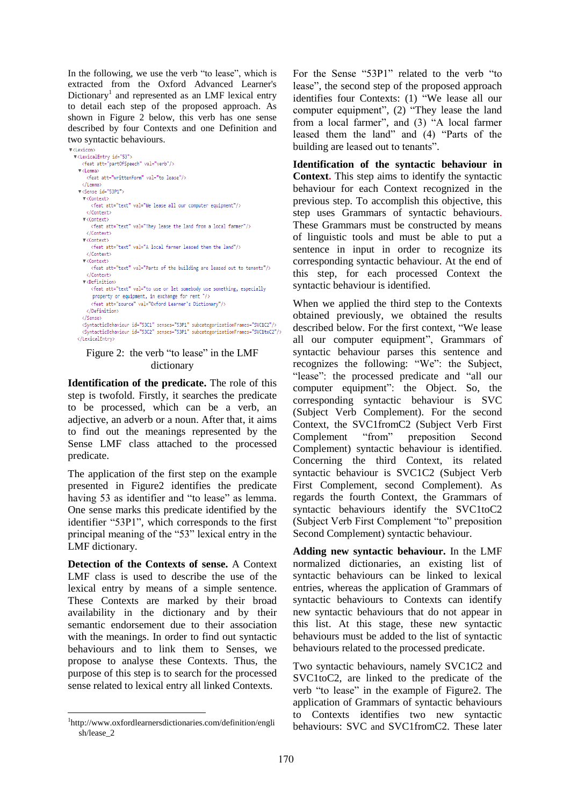In the following, we use the verb "to lease", which is extracted from the Oxford Advanced Learner's Dictionary<sup>1</sup> and represented as an LMF lexical entry to detail each step of the proposed approach. As shown in Figure 2 below, this verb has one sense described by four Contexts and one Definition and two syntactic behaviours.



#### Figure 2: the verb "to lease" in the LMF dictionary

**Identification of the predicate.** The role of this step is twofold. Firstly, it searches the predicate to be processed, which can be a verb, an adjective, an adverb or a noun. After that, it aims to find out the meanings represented by the Sense LMF class attached to the processed predicate.

The application of the first step on the example presented in Figure2 identifies the predicate having 53 as identifier and "to lease" as lemma. One sense marks this predicate identified by the identifier "53P1", which corresponds to the first principal meaning of the "53" lexical entry in the LMF dictionary.

**Detection of the Contexts of sense.** A Context LMF class is used to describe the use of the lexical entry by means of a simple sentence. These Contexts are marked by their broad availability in the dictionary and by their semantic endorsement due to their association with the meanings. In order to find out syntactic behaviours and to link them to Senses, we propose to analyse these Contexts. Thus, the purpose of this step is to search for the processed sense related to lexical entry all linked Contexts.

-

For the Sense "53P1" related to the verb "to lease", the second step of the proposed approach identifies four Contexts: (1) "We lease all our computer equipment", (2) "They lease the land from a local farmer", and (3) "A local farmer leased them the land" and (4) "Parts of the building are leased out to tenants".

**Identification of the syntactic behaviour in Context.** This step aims to identify the syntactic behaviour for each Context recognized in the previous step. To accomplish this objective, this step uses Grammars of syntactic behaviours. These Grammars must be constructed by means of linguistic tools and must be able to put a sentence in input in order to recognize its corresponding syntactic behaviour. At the end of this step, for each processed Context the syntactic behaviour is identified.

When we applied the third step to the Contexts obtained previously, we obtained the results described below. For the first context, "We lease all our computer equipment", Grammars of syntactic behaviour parses this sentence and recognizes the following: "We": the Subject, "lease": the processed predicate and "all our computer equipment": the Object. So, the corresponding syntactic behaviour is SVC (Subject Verb Complement). For the second Context, the SVC1fromC2 (Subject Verb First Complement "from" preposition Second Complement) syntactic behaviour is identified. Concerning the third Context, its related syntactic behaviour is SVC1C2 (Subject Verb First Complement, second Complement). As regards the fourth Context, the Grammars of syntactic behaviours identify the SVC1toC2 (Subject Verb First Complement "to" preposition Second Complement) syntactic behaviour.

**Adding new syntactic behaviour.** In the LMF normalized dictionaries, an existing list of syntactic behaviours can be linked to lexical entries, whereas the application of Grammars of syntactic behaviours to Contexts can identify new syntactic behaviours that do not appear in this list. At this stage, these new syntactic behaviours must be added to the list of syntactic behaviours related to the processed predicate.

Two syntactic behaviours, namely SVC1C2 and SVC1toC2, are linked to the predicate of the verb "to lease" in the example of Figure2. The application of Grammars of syntactic behaviours to Contexts identifies two new syntactic behaviours: SVC and SVC1fromC2. These later

<sup>1</sup> http://www.oxfordlearnersdictionaries.com/definition/engli sh/lease\_2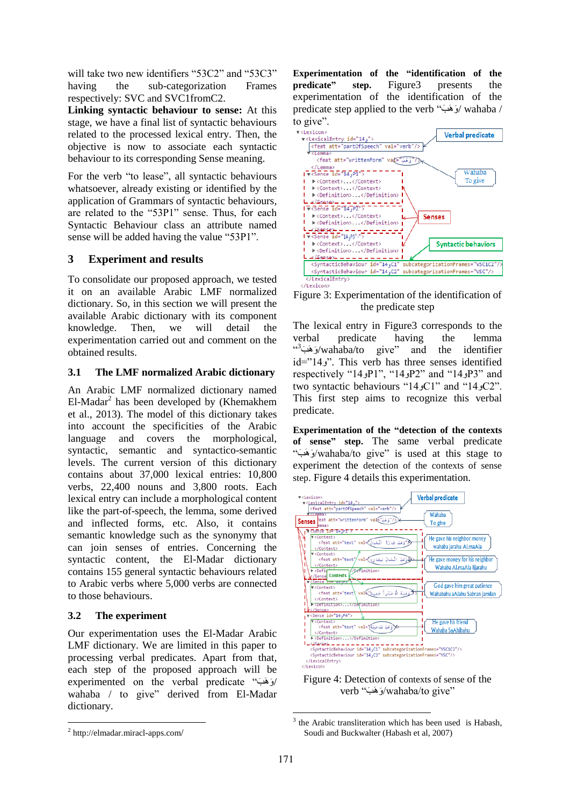will take two new identifiers "53C2" and "53C3" having the sub-categorization Frames respectively: SVC and SVC1fromC2.

**Linking syntactic behaviour to sense:** At this stage, we have a final list of syntactic behaviours related to the processed lexical entry. Then, the objective is now to associate each syntactic behaviour to its corresponding Sense meaning.

For the verb "to lease", all syntactic behaviours whatsoever, already existing or identified by the application of Grammars of syntactic behaviours, are related to the "53P1" sense. Thus, for each Syntactic Behaviour class an attribute named sense will be added having the value "53P1".

## **3 Experiment and results**

To consolidate our proposed approach, we tested it on an available Arabic LMF normalized dictionary. So, in this section we will present the available Arabic dictionary with its component knowledge. Then, we will detail the experimentation carried out and comment on the obtained results.

### **3.1 The LMF normalized Arabic dictionary**

An Arabic LMF normalized dictionary named El-Madar<sup>2</sup> has been developed by (Khemakhem et al., 2013). The model of this dictionary takes into account the specificities of the Arabic language and covers the morphological, syntactic, semantic and syntactico-semantic levels. The current version of this dictionary contains about 37,000 lexical entries: 10,800 verbs, 22,400 nouns and 3,800 roots. Each lexical entry can include a morphological content like the part-of-speech, the lemma, some derived and inflected forms, etc. Also, it contains semantic knowledge such as the synonymy that can join senses of entries. Concerning the syntactic content, the El-Madar dictionary contains 155 general syntactic behaviours related to Arabic verbs where 5,000 verbs are connected to those behaviours.

## **3.2 The experiment**

Our experimentation uses the El-Madar Arabic LMF dictionary. We are limited in this paper to processing verbal predicates. Apart from that, each step of the proposed approach will be experimented on the verbal predicate " وَ وَ وَ / wahaba / to give" derived from El-Madar dictionary.

2 http://elmadar.miracl-apps.com/

-

**Experimentation of the "identification of the predicate" step.** Figure3 presents the experimentation of the identification of the predicate step applied to the verb " وَ وَ وَ / wahaba / to give".



Figure 3: Experimentation of the identification of the predicate step

The lexical entry in Figure3 corresponds to the verbal predicate having the lemma  $\omega^2$ وَهَبَ $\omega$ wahaba/to give" and the identifier id="14 $\cdot$ ". This verb has three senses identified respectively "14 P1", "14 P2" and "14 P3" and two syntactic behaviours "14  $\text{C1}$ " and "14  $\text{C2}$ ". This first step aims to recognize this verbal predicate.

**Experimentation of the "detection of the contexts of sense" step.** The same verbal predicate " وَ وَ وَ /wahaba/to give" is used at this stage to experiment the detection of the contexts of sense step. Figure 4 details this experimentation.





<sup>&</sup>lt;sup>3</sup> the Arabic transliteration which has been used is Habash, Soudi and Buckwalter (Habash et al, 2007)

-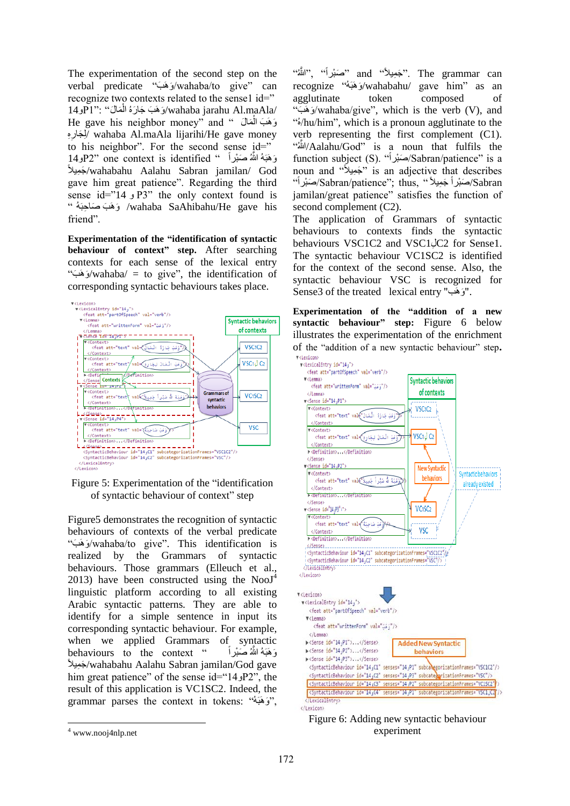The experimentation of the second step on the verbal predicate " وَ وَ وَ /wahaba/to give" can recognize two contexts related to the sense1 id=" <code>14</code>و <code>14</code>اوَ فَدَبَ جَارَهُ الْمَالُ'' : "P1": "إ $\alpha$ ahaba jarahu Al.maAla/ ْل He gave his neighbor money" and " هَبَ الْمَالَ ْل لِمَبَارِهِ( wahaba Al.maAla lijarihi/He gave money to his neighbor". For the second sense id=" ِهَبَهُ اللَّهُ صَبْراً " D2" one context is identified ًي لِ وَ /wahabahu Aalahu Sabran jamilan/ God gave him great patience". Regarding the third  $sense$  id="14  $P3$ " the only context found is " وَهَبَ صَاحِبَهُ » /wahaba SaAhibahu/He gave his friend".

**Experimentation of the "identification of syntactic behaviour of context" step.** After searching contexts for each sense of the lexical entry " وَهَبَ $\sqrt{w}$ ahaba $\sqrt{q} = t$ o give", the identification of corresponding syntactic behaviours takes place.



Figure 5: Experimentation of the "identification of syntactic behaviour of context" step

Figure5 demonstrates the recognition of syntactic behaviours of contexts of the verbal predicate " وَ وَ وَ /wahaba/to give". This identification is realized by the Grammars of syntactic behaviours. Those grammars (Elleuch et al., 2013) have been constructed using the  $NooJ<sup>4</sup>$ linguistic platform according to all existing Arabic syntactic patterns. They are able to identify for a simple sentence in input its corresponding syntactic behaviour. For example, when we applied Grammars of syntactic behaviours to the context " ِهَبَهُ اللَّهُ صَنْرٍ أَ ًي لِ وَ /wahabahu Aalahu Sabran jamilan/God gave him great patience" of the sense id="14 P2", the result of this application is VC1SC2. Indeed, the grammar parses the context in tokens: "هُوهَوبَ وَ" ,

-

"نَّجَمِيلاً" and "حَمَيْراً" ," أَللهُ" and recognize "هُوهَوبَ وَ /wahabahu/ gave him" as an agglutinate token composed of " وَهَبَ $\alpha$ wahaba/give", which is the verb (V), and "هُ /hu/him", which is a pronoun agglutinate to the verb representing the first complement (C1). "هُللاَّه /Aalahu/God" is a noun that fulfils the function subject (S). "اَصَبْراً» (Sabran/patience" is a noun and "جَمِيلاً" is an adjective that describes -Sabran/patience"; thus, "صَبْراً جَمِيلاً")  $\ddot{ }$ jamilan/great patience" satisfies the function of second complement (C2).

The application of Grammars of syntactic behaviours to contexts finds the syntactic behaviours VSC1C2 and VSC1JC2 for Sense1. The syntactic behaviour VC1SC2 is identified for the context of the second sense. Also, the syntactic behaviour VSC is recognized for Sense3 of the treated lexical entry "وَهَب".

**Experimentation of the "addition of a new syntactic behaviour" step:** Figure 6 below illustrates the experimentation of the enrichment of the "addition of a new syntactic behaviour" step**. v**<Lexicon>





<sup>4</sup> www.nooj4nlp.net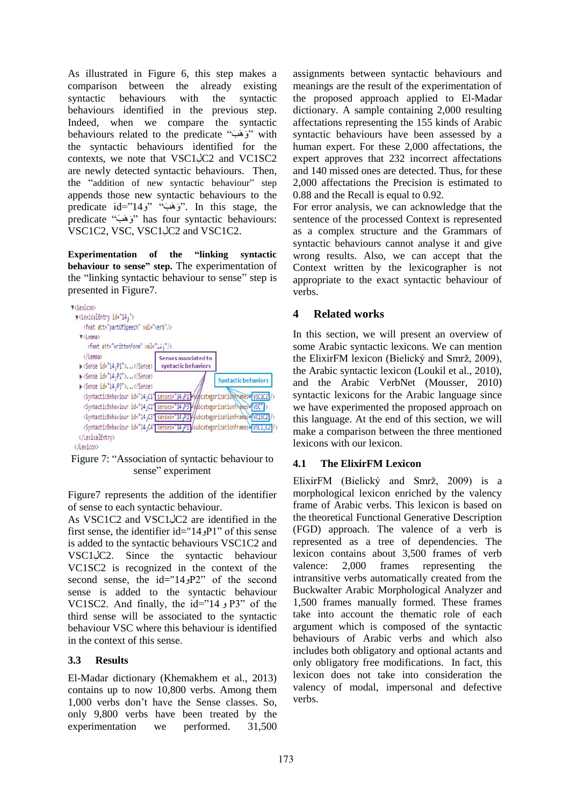As illustrated in Figure 6, this step makes a comparison between the already existing syntactic behaviours with the syntactic behaviours identified in the previous step. Indeed, when we compare the syntactic behaviours related to the predicate " وَ وَ وَ " with the syntactic behaviours identified for the contexts, we note that VSC1JC2 and VC1SC2 are newly detected syntactic behaviours. Then, the "addition of new syntactic behaviour" step appends those new syntactic behaviours to the predicate  $id="14, j"$   $(i\neq j"$ . In this stage, the predicate "وَ هَبَ" has four syntactic behaviours: VSC1C2, VSC, VSC1C2 and VSC1C2.

**Experimentation of the "linking syntactic behaviour to sense" step.** The experimentation of the "linking syntactic behaviour to sense" step is presented in Figure7.



Figure 7: "Association of syntactic behaviour to sense" experiment

Figure7 represents the addition of the identifier of sense to each syntactic behaviour.

As VSC1C2 and VSC1JC2 are identified in the first sense, the identifier  $id="14.9P1"$  of this sense is added to the syntactic behaviours VSC1C2 and  $VSC1\dot{\;}$  C2. Since the syntactic behaviour VC1SC2 is recognized in the context of the second sense, the  $id="14.9P2"$  of the second sense is added to the syntactic behaviour VC1SC2. And finally, the id="14  $_2$ P3" of the third sense will be associated to the syntactic behaviour VSC where this behaviour is identified in the context of this sense.

### **3.3 Results**

El-Madar dictionary (Khemakhem et al., 2013) contains up to now 10,800 verbs. Among them 1,000 verbs don't have the Sense classes. So, only 9,800 verbs have been treated by the experimentation we performed. 31,500

assignments between syntactic behaviours and meanings are the result of the experimentation of the proposed approach applied to El-Madar dictionary. A sample containing 2,000 resulting affectations representing the 155 kinds of Arabic syntactic behaviours have been assessed by a human expert. For these 2,000 affectations, the expert approves that 232 incorrect affectations and 140 missed ones are detected. Thus, for these 2,000 affectations the Precision is estimated to 0.88 and the Recall is equal to 0.92.

For error analysis, we can acknowledge that the sentence of the processed Context is represented as a complex structure and the Grammars of syntactic behaviours cannot analyse it and give wrong results. Also, we can accept that the Context written by the lexicographer is not appropriate to the exact syntactic behaviour of verbs.

# **4 Related works**

In this section, we will present an overview of some Arabic syntactic lexicons. We can mention the ElixirFM lexicon (Bielický and Smrž, 2009), the Arabic syntactic lexicon (Loukil et al., 2010), and the Arabic VerbNet (Mousser, 2010) syntactic lexicons for the Arabic language since we have experimented the proposed approach on this language. At the end of this section, we will make a comparison between the three mentioned lexicons with our lexicon.

## **4.1 The ElixirFM Lexicon**

ElixirFM (Bielický and Smrž, 2009) is a morphological lexicon enriched by the valency frame of Arabic verbs. This lexicon is based on the theoretical Functional Generative Description (FGD) approach. The valence of a verb is represented as a tree of dependencies. The lexicon contains about 3,500 frames of verb valence: 2,000 frames representing the intransitive verbs automatically created from the Buckwalter Arabic Morphological Analyzer and 1,500 frames manually formed. These frames take into account the thematic role of each argument which is composed of the syntactic behaviours of Arabic verbs and which also includes both obligatory and optional actants and only obligatory free modifications. In fact, this lexicon does not take into consideration the valency of modal, impersonal and defective verbs.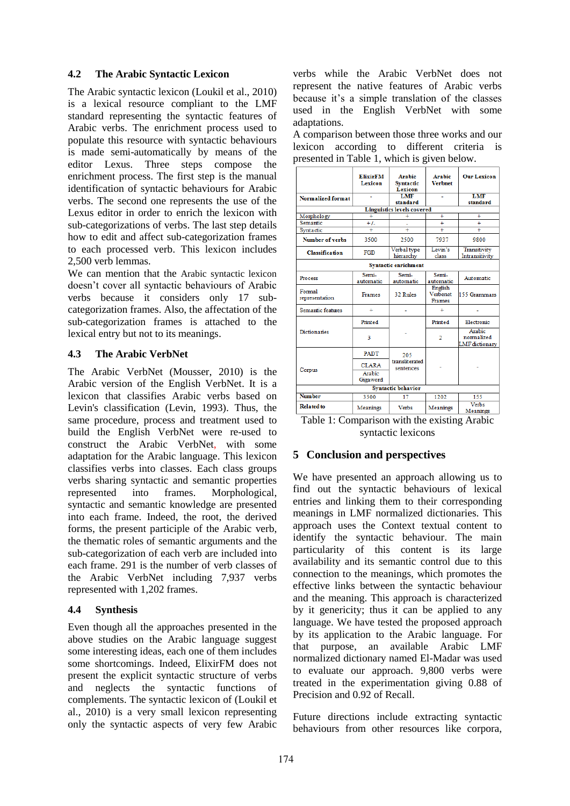#### **4.2 The Arabic Syntactic Lexicon**

The Arabic syntactic lexicon (Loukil et al., 2010) is a lexical resource compliant to the LMF standard representing the syntactic features of Arabic verbs. The enrichment process used to populate this resource with syntactic behaviours is made semi-automatically by means of the editor Lexus. Three steps compose the enrichment process. The first step is the manual identification of syntactic behaviours for Arabic verbs. The second one represents the use of the Lexus editor in order to enrich the lexicon with sub-categorizations of verbs. The last step details how to edit and affect sub-categorization frames to each processed verb. This lexicon includes 2,500 verb lemmas.

We can mention that the Arabic syntactic lexicon doesn't cover all syntactic behaviours of Arabic verbs because it considers only 17 subcategorization frames. Also, the affectation of the sub-categorization frames is attached to the lexical entry but not to its meanings.

### **4.3 The Arabic VerbNet**

The Arabic VerbNet (Mousser, 2010) is the Arabic version of the English VerbNet. It is a lexicon that classifies Arabic verbs based on Levin's classification (Levin, 1993). Thus, the same procedure, process and treatment used to build the English VerbNet were re-used to construct the Arabic VerbNet, with some adaptation for the Arabic language. This lexicon classifies verbs into classes. Each class groups verbs sharing syntactic and semantic properties represented into frames. Morphological, syntactic and semantic knowledge are presented into each frame. Indeed, the root, the derived forms, the present participle of the Arabic verb, the thematic roles of semantic arguments and the sub-categorization of each verb are included into each frame. 291 is the number of verb classes of the Arabic VerbNet including 7,937 verbs represented with 1,202 frames.

### **4.4 Synthesis**

Even though all the approaches presented in the above studies on the Arabic language suggest some interesting ideas, each one of them includes some shortcomings. Indeed, ElixirFM does not present the explicit syntactic structure of verbs and neglects the syntactic functions of complements. The syntactic lexicon of (Loukil et al., 2010) is a very small lexicon representing only the syntactic aspects of very few Arabic

verbs while the Arabic VerbNet does not represent the native features of Arabic verbs because it's a simple translation of the classes used in the English VerbNet with some adaptations.

A comparison between those three works and our lexicon according to different criteria is presented in Table 1, which is given below.

| Normalized format                 | <b>ElixirFM</b><br>Lexicon                | <b>Arabic</b><br><b>Syntactic</b><br><b>Lexicon</b><br><b>LMF</b><br>standard | <b>Arabic</b><br><b>Verbnet</b><br>×. | <b>Our Lexicon</b><br><b>LMF</b><br>standard         |
|-----------------------------------|-------------------------------------------|-------------------------------------------------------------------------------|---------------------------------------|------------------------------------------------------|
| <b>Linguistics levels covered</b> |                                           |                                                                               |                                       |                                                      |
| Morphology                        | $\ddot{}$                                 | ÷                                                                             | $\ddot{}$                             | ÷                                                    |
| Semantic                          | $+1$                                      |                                                                               | $\ddot{}$                             | ÷                                                    |
| Syntactic                         | ÷.                                        | ÷.                                                                            | ÷.                                    | ÷.                                                   |
| <b>Number of verbs</b>            | 3500                                      | 2500                                                                          | 7937                                  | 9800                                                 |
| <b>Classification</b>             | FGD                                       | Verbal type<br>hierarchy                                                      | Levin's<br>class                      | Transitivity<br>Intransitivity                       |
| <b>Syntactic enrichment</b>       |                                           |                                                                               |                                       |                                                      |
| <b>Process</b>                    | Semi-<br>automatic                        | Semi-<br>automatic                                                            | Semi-<br>automatic                    | Automatic                                            |
| Formal<br>representation          | <b>Frames</b>                             | 32 Rules                                                                      | English<br>Verbenet<br><b>Frames</b>  | 155 Grammars                                         |
| Semantic features                 | $+$                                       |                                                                               | ÷                                     |                                                      |
| <b>Dictionaries</b>               | Printed                                   |                                                                               | Printed                               | Electronic                                           |
|                                   | 3                                         |                                                                               | $\overline{2}$                        | <b>Arabic</b><br>normalized<br><b>LMF</b> dictionary |
| Corpus                            | <b>PADT</b>                               | 205<br>transliterated<br>sentences                                            |                                       |                                                      |
|                                   | <b>CLARA</b><br><b>Arabic</b><br>Gigaword |                                                                               |                                       |                                                      |
| <b>Syntactic behavior</b>         |                                           |                                                                               |                                       |                                                      |
| <b>Number</b>                     | 3500                                      | 17                                                                            | 1202                                  | 155                                                  |
| <b>Related to</b>                 | Meanings                                  | <b>Verbs</b>                                                                  | <b>Meanings</b>                       | <b>Verbs</b><br><b>Meanings</b>                      |

Table 1: Comparison with the existing Arabic syntactic lexicons

### **5 Conclusion and perspectives**

We have presented an approach allowing us to find out the syntactic behaviours of lexical entries and linking them to their corresponding meanings in LMF normalized dictionaries. This approach uses the Context textual content to identify the syntactic behaviour. The main particularity of this content is its large availability and its semantic control due to this connection to the meanings, which promotes the effective links between the syntactic behaviour and the meaning. This approach is characterized by it genericity; thus it can be applied to any language. We have tested the proposed approach by its application to the Arabic language. For that purpose, an available Arabic LMF normalized dictionary named El-Madar was used to evaluate our approach. 9,800 verbs were treated in the experimentation giving 0.88 of Precision and 0.92 of Recall.

Future directions include extracting syntactic behaviours from other resources like corpora,